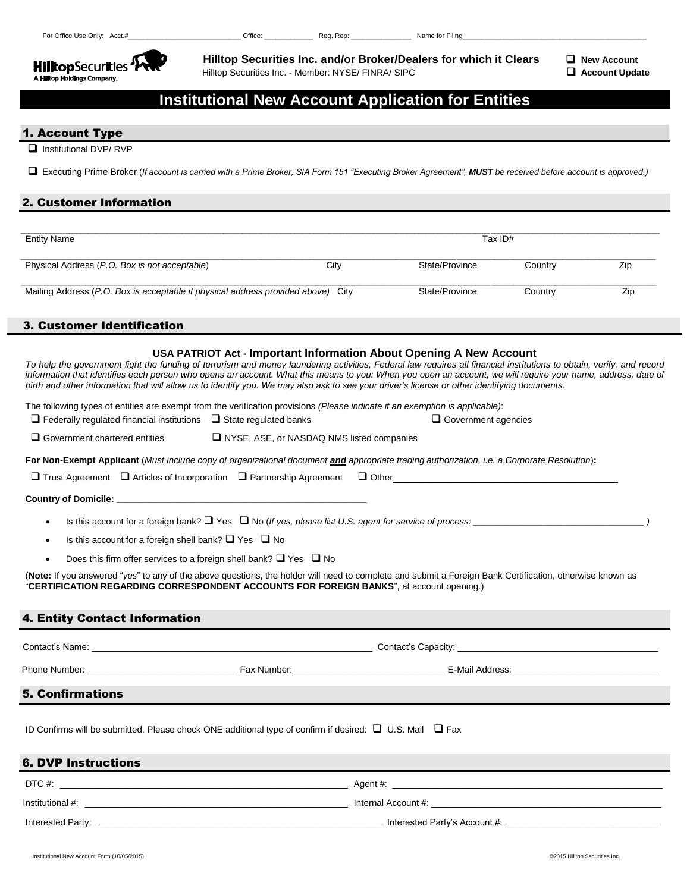

 **Hilltop Securities Inc. and/or Broker/Dealers for which it Clears**  $\Box$  **New Account** Hilltop Securities Inc. - Member: NYSE/ FINRA/ SIPC **Account Update**

# **Institutional New Account Application for Entities**

#### 1. Account Type

Institutional DVP/ RVP

Executing Prime Broker (*If account is carried with a Prime Broker, SIA Form 151 "Executing Broker Agreement", MUST be received before account is approved.)*

### 2. Customer Information

| Entity Name                                                                      |      | Tax ID#        |         |     |
|----------------------------------------------------------------------------------|------|----------------|---------|-----|
| Physical Address (P.O. Box is not acceptable)                                    | City | State/Province | Country | Zip |
| Mailing Address (P.O. Box is acceptable if physical address provided above) City |      | State/Province | Countrv | Zip |

### 3. Customer Identification

#### **USA PATRIOT Act - Important Information About Opening A New Account**

*To help the government fight the funding of terrorism and money laundering activities, Federal law requires all financial institutions to obtain, verify, and record*  information that identifies each person who opens an account. What this means to you: When you open an account, we will require your name, address, date of *birth and other information that will allow us to identify you. We may also ask to see your driver's license or other identifying documents.*

The following types of entities are exempt from the verification provisions *(Please indicate if an exemption is applicable)*:

- $\square$  Federally regulated financial institutions  $\square$  State regulated banks  $\square$  Government agencies
- $\square$  Government chartered entities  $\square$  NYSE, ASE, or NASDAQ NMS listed companies

**For Non-Exempt Applicant** (*Must include copy of organizational document and appropriate trading authorization, i.e. a Corporate Resolution*)**:**

 $\square$  Trust Agreement  $\square$  Articles of Incorporation  $\square$  Partnership Agreement  $\square$  Other

**Country of Domicile: \_\_\_\_\_\_\_\_\_\_\_\_\_\_\_\_\_\_\_\_\_\_\_\_\_\_\_\_\_\_\_\_\_\_\_\_\_\_\_\_\_\_\_\_\_\_\_\_\_\_**

- Is this account for a foreign bank?  $\Box$  Yes  $\Box$  No (*If yes, please list U.S. agent for service of process:*
- Is this account for a foreign shell bank?  $\Box$  Yes  $\Box$  No
- Does this firm offer services to a foreign shell bank?  $\Box$  Yes  $\Box$  No

(**Note:** If you answered "*yes*" to any of the above questions, the holder will need to complete and submit a Foreign Bank Certification, otherwise known as "**CERTIFICATION REGARDING CORRESPONDENT ACCOUNTS FOR FOREIGN BANKS**", at account opening.)

### 4. Entity Contact Information

| Contact's Name:         |             | Contact's Capacity: |  |
|-------------------------|-------------|---------------------|--|
| Phone Number:           | Fax Number: | E-Mail Address:     |  |
| <b>5. Confirmations</b> |             |                     |  |
|                         |             |                     |  |

ID Confirms will be submitted. Please check ONE additional type of confirm if desired:  $\Box$  U.S. Mail  $\Box$  Fax

### 6. DVP Instructions

| DTC #:            | Agent #:                      |
|-------------------|-------------------------------|
| Institutional #:  | Internal Account #:           |
| Interested Party: | Interested Party's Account #: |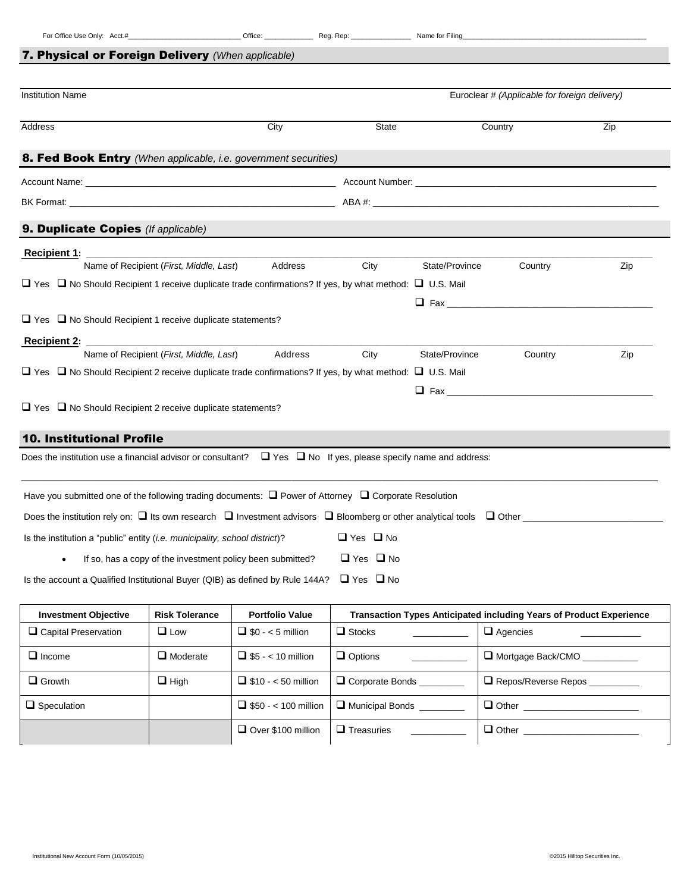## 7. Physical or Foreign Delivery *(When applicable)*

| <b>Institution Name</b>                                                                                                 |                                         |                                                            | Euroclear # (Applicable for foreign delivery)                 |                |                                                                            |     |
|-------------------------------------------------------------------------------------------------------------------------|-----------------------------------------|------------------------------------------------------------|---------------------------------------------------------------|----------------|----------------------------------------------------------------------------|-----|
| Address                                                                                                                 |                                         | City                                                       | State                                                         |                | Country                                                                    | Zip |
| 8. Fed Book Entry (When applicable, i.e. government securities)                                                         |                                         |                                                            |                                                               |                |                                                                            |     |
|                                                                                                                         |                                         |                                                            |                                                               |                |                                                                            |     |
| BK Format: the contract of the contract of the contract of the ABA #:                                                   |                                         |                                                            |                                                               |                |                                                                            |     |
| 9. Duplicate Copies (If applicable)                                                                                     |                                         |                                                            |                                                               |                |                                                                            |     |
| Recipient 1:                                                                                                            |                                         |                                                            |                                                               |                |                                                                            |     |
|                                                                                                                         | Name of Recipient (First, Middle, Last) | Address                                                    | City                                                          | State/Province | Country                                                                    | Zip |
| $\Box$ Yes $\Box$ No Should Recipient 1 receive duplicate trade confirmations? If yes, by what method: $\Box$ U.S. Mail |                                         |                                                            |                                                               |                |                                                                            |     |
|                                                                                                                         |                                         |                                                            |                                                               |                |                                                                            |     |
| $\Box$ Yes $\Box$ No Should Recipient 1 receive duplicate statements?                                                   |                                         |                                                            |                                                               |                |                                                                            |     |
| <b>Recipient 2:</b>                                                                                                     |                                         |                                                            |                                                               |                |                                                                            |     |
|                                                                                                                         | Name of Recipient (First, Middle, Last) | Address                                                    | City                                                          | State/Province | Country                                                                    | Zip |
| $\Box$ Yes $\Box$ No Should Recipient 2 receive duplicate trade confirmations? If yes, by what method: $\Box$ U.S. Mail |                                         |                                                            |                                                               |                |                                                                            |     |
|                                                                                                                         |                                         |                                                            |                                                               |                |                                                                            |     |
| $\Box$ Yes $\Box$ No Should Recipient 2 receive duplicate statements?                                                   |                                         |                                                            |                                                               |                |                                                                            |     |
| <b>10. Institutional Profile</b>                                                                                        |                                         |                                                            |                                                               |                |                                                                            |     |
| Does the institution use a financial advisor or consultant?                                                             |                                         |                                                            | $\Box$ Yes $\Box$ No If yes, please specify name and address: |                |                                                                            |     |
|                                                                                                                         |                                         |                                                            |                                                               |                |                                                                            |     |
| Have you submitted one of the following trading documents: $\Box$ Power of Attorney $\Box$ Corporate Resolution         |                                         |                                                            |                                                               |                |                                                                            |     |
|                                                                                                                         |                                         |                                                            |                                                               |                |                                                                            |     |
|                                                                                                                         |                                         |                                                            |                                                               |                |                                                                            |     |
| Is the institution a "public" entity <i>(i.e. municipality, school district)</i> ?                                      |                                         |                                                            | $\Box$ Yes $\Box$ No                                          |                |                                                                            |     |
|                                                                                                                         |                                         | If so, has a copy of the investment policy been submitted? | $\Box$ Yes $\Box$ No                                          |                |                                                                            |     |
| Is the account a Qualified Institutional Buyer (QIB) as defined by Rule 144A?                                           |                                         |                                                            | $\Box$ Yes $\Box$ No                                          |                |                                                                            |     |
| <b>Investment Objective</b>                                                                                             | <b>Risk Tolerance</b>                   | <b>Portfolio Value</b>                                     |                                                               |                | <b>Transaction Types Anticipated including Years of Product Experience</b> |     |
| $\Box$ Capital Preservation                                                                                             | $\Box$ Low                              | $\Box$ \$0 - < 5 million                                   | $\Box$ Stocks                                                 |                | $\Box$ Agencies                                                            |     |

| $\Box$ Income      | $\Box$ Moderate | $\Box$ \$5 - < 10 million   | $\Box$ Options    | Mortgage Back/CMO             |
|--------------------|-----------------|-----------------------------|-------------------|-------------------------------|
| $\Box$ Growth      | $\Box$ High     | $\Box$ \$10 - < 50 million  | □ Corporate Bonds | Repos/Reverse Repos _________ |
| $\Box$ Speculation |                 | $\Box$ \$50 - < 100 million | Municipal Bonds   | $\Box$ Other                  |
|                    |                 | Over \$100 million          | $\Box$ Treasuries | $\Box$ Other                  |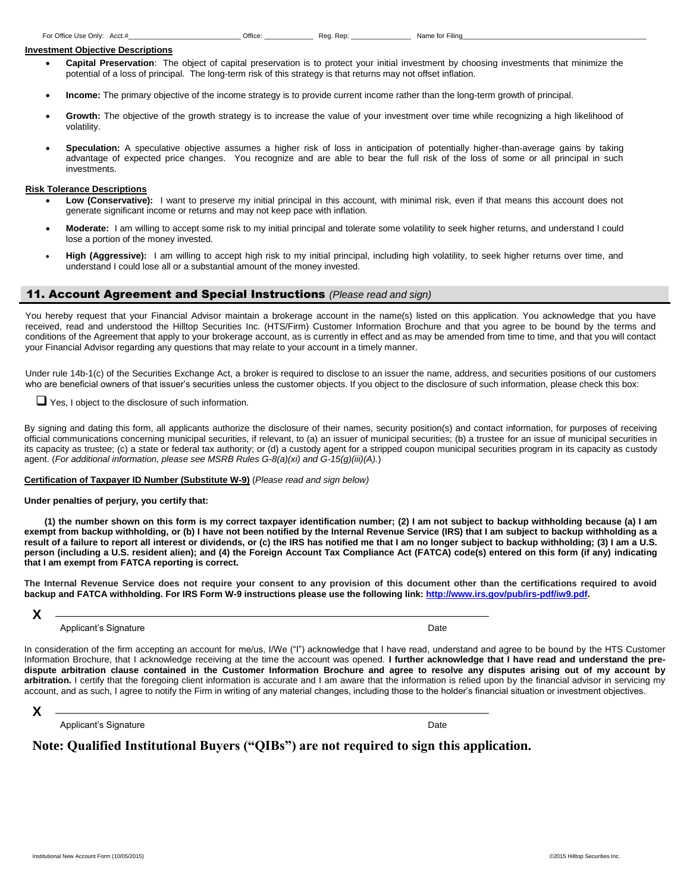## **Investment Objective Descriptions**

- **Capital Preservation**: The object of capital preservation is to protect your initial investment by choosing investments that minimize the potential of a loss of principal. The long-term risk of this strategy is that returns may not offset inflation.
- **Income:** The primary objective of the income strategy is to provide current income rather than the long-term growth of principal.
- **Growth:** The objective of the growth strategy is to increase the value of your investment over time while recognizing a high likelihood of volatility.
- **Speculation:** A speculative objective assumes a higher risk of loss in anticipation of potentially higher-than-average gains by taking advantage of expected price changes. You recognize and are able to bear the full risk of the loss of some or all principal in such investments.

### **Risk Tolerance Descriptions**

- Low (Conservative): I want to preserve my initial principal in this account, with minimal risk, even if that means this account does not generate significant income or returns and may not keep pace with inflation.
- **Moderate:** I am willing to accept some risk to my initial principal and tolerate some volatility to seek higher returns, and understand I could lose a portion of the money invested.
- **High (Aggressive):** I am willing to accept high risk to my initial principal, including high volatility, to seek higher returns over time, and understand I could lose all or a substantial amount of the money invested.

#### 11. Account Agreement and Special Instructions *(Please read and sign)*

You hereby request that your Financial Advisor maintain a brokerage account in the name(s) listed on this application. You acknowledge that you have received, read and understood the Hilltop Securities Inc. (HTS/Firm) Customer Information Brochure and that you agree to be bound by the terms and conditions of the Agreement that apply to your brokerage account, as is currently in effect and as may be amended from time to time, and that you will contact your Financial Advisor regarding any questions that may relate to your account in a timely manner.

Under rule 14b-1(c) of the Securities Exchange Act, a broker is required to disclose to an issuer the name, address, and securities positions of our customers who are beneficial owners of that issuer's securities unless the customer objects. If you object to the disclosure of such information, please check this box:

Yes, I object to the disclosure of such information.

By signing and dating this form, all applicants authorize the disclosure of their names, security position(s) and contact information, for purposes of receiving official communications concerning municipal securities, if relevant, to (a) an issuer of municipal securities; (b) a trustee for an issue of municipal securities in its capacity as trustee; (c) a state or federal tax authority; or (d) a custody agent for a stripped coupon municipal securities program in its capacity as custody agent. (*For additional information, please see MSRB Rules G-8(a)(xi) and G-15(g)(iii)(A).*)

## **Certification of Taxpayer ID Number (Substitute W-9)** (*Please read and sign below)*

**Under penalties of perjury, you certify that:**

 **(1) the number shown on this form is my correct taxpayer identification number; (2) I am not subject to backup withholding because (a) I am exempt from backup withholding, or (b) I have not been notified by the Internal Revenue Service (IRS) that I am subject to backup withholding as a result of a failure to report all interest or dividends, or (c) the IRS has notified me that I am no longer subject to backup withholding; (3) I am a U.S. person (including a U.S. resident alien); and (4) the Foreign Account Tax Compliance Act (FATCA) code(s) entered on this form (if any) indicating that I am exempt from FATCA reporting is correct.**

**The Internal Revenue Service does not require your consent to any provision of this document other than the certifications required to avoid backup and FATCA withholding. For IRS Form W-9 instructions please use the following link: [http://www.irs.gov/pub/irs-pdf/iw9.pdf.](http://www.irs.gov/pub/irs-pdf/iw9.pdf)**

**X**

**Applicant's Signature Date Applicant's Signature Date Applicant's Signature Date Applicant's Signature Date Applicant's Signature Date Applicant's Signature Date Applicant in the Applicant of Date Applicant in the Applica** 

 **dispute arbitration clause contained in the Customer Information Brochure and agree to resolve any disputes arising out of my account by**  In consideration of the firm accepting an account for me/us, I/We ("I") acknowledge that I have read, understand and agree to be bound by the HTS Customer Information Brochure, that I acknowledge receiving at the time the account was opened. **I further acknowledge that I have read and understand the pre**arbitration. I certify that the foregoing client information is accurate and I am aware that the information is relied upon by the financial advisor in servicing my account, and as such, I agree to notify the Firm in writing of any material changes, including those to the holder's financial situation or investment objectives.

## **X**

**Applicant's Signature Date of Contract Contract Contract Contract Contract Contract Contract Contract Contract Contract Contract Contract Contract Contract Contract Contract Contract Contract Contract Contract Contract Co** 

**Note: Qualified Institutional Buyers ("QIBs") are not required to sign this application.**